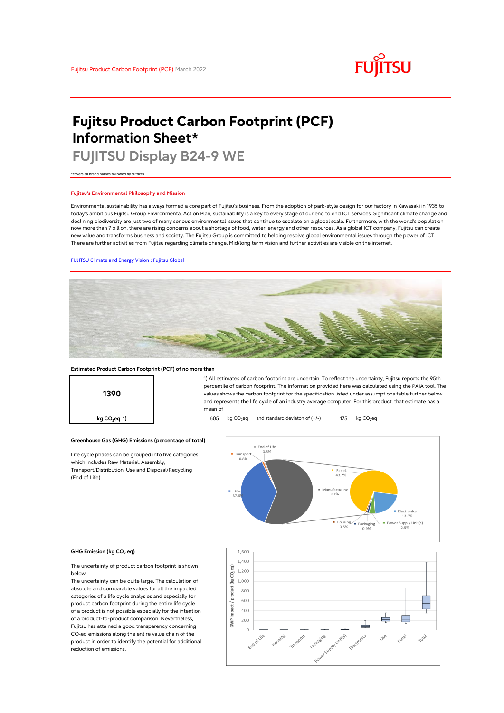

# **Fujitsu Product Carbon Footprint (PCF) Information Sheet\***

# **FUJITSU Display B24-9 WE**

\*covers all brand names followed by suffixes

#### **Fujitsu's Environmental Philosophy and Mission**

Environmental sustainability has always formed a core part of Fujitsu's business. From the adoption of park-style design for our factory in Kawasaki in 1935 to today's ambitious Fujitsu Group Environmental Action Plan, sustainability is a key to every stage of our end to end ICT services. Significant climate change and declining biodiversity are just two of many serious environmental issues that continue to escalate on a global scale. Furthermore, with the world's population now more than 7 billion, there are rising concerns about a shortage of food, water, energy and other resources. As a global ICT company, Fujitsu can create new value and transforms business and society. The Fujitsu Group is committed to helping resolve global environmental issues through the power of ICT. There are further activities from Fujitsu regarding climate change. Mid/long term vision and further activities are visible on the internet.

## [FUJITSU Climate and Energy Vision : Fujitsu Global](https://www.fujitsu.com/global/about/environment/climate-energy-vision/)



mean of

#### **Estimated Product Carbon Footprint (PCF) of no more than**



### **Greenhouse Gas (GHG) Emissions (percentage of total)**

Life cycle phases can be grouped into five categories which includes Raw Material, Assembly, Transport/Distribution, Use and Disposal/Recycling (End of Life).



1) All estimates of carbon footprint are uncertain. To reflect the uncertainty, Fujitsu reports the 95th percentile of carbon footprint. The information provided here was calculated using the PAIA tool. The values shows the carbon footprint for the specification listed under assumptions table further below and represents the life cycle of an industry average computer. For this product, that estimate has a

#### **GHG Emission (kg CO<sup>2</sup> eq)**

The uncertainty of product carbon footprint is shown below.

The uncertainty can be quite large. The calculation of absolute and comparable values for all the impacted categories of a life cycle analysies and especially for product carbon footprint during the entire life cycle of a product is not possible especially for the intention of a product-to-product comparison. Nevertheless, Fujitsu has attained a good transparency concerning  $CO<sub>2</sub>$ eq emissions along the entire value chain of the product in order to identify the potential for additional reduction of emissions.